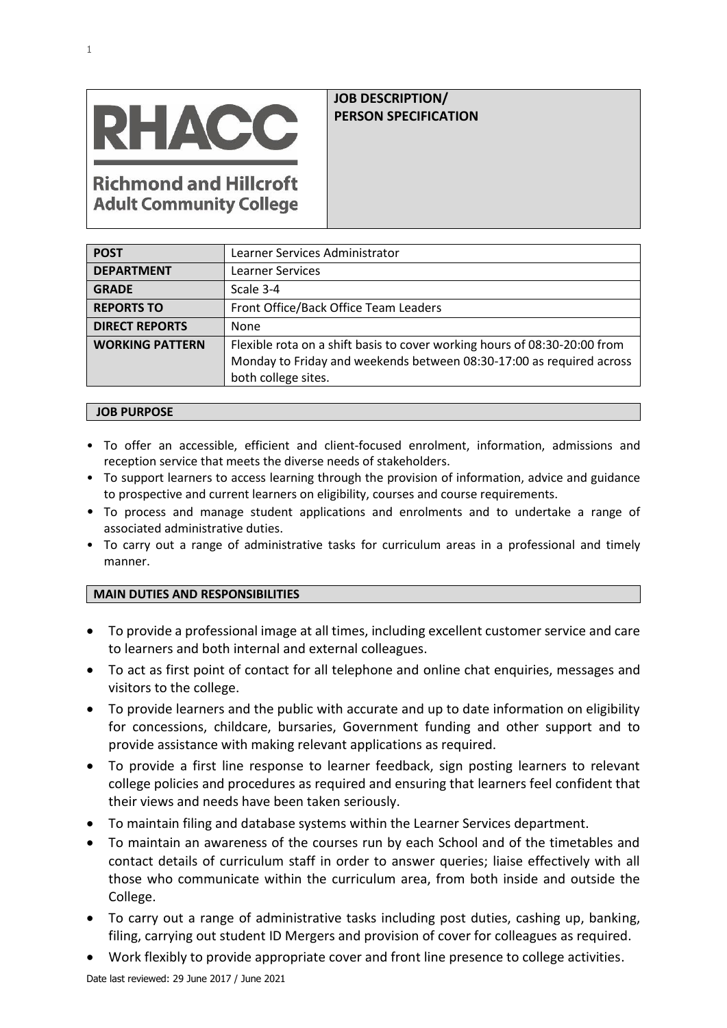

# **JOB DESCRIPTION/ PERSON SPECIFICATION**

**Richmond and Hillcroft Adult Community College** 

| <b>POST</b>            | Learner Services Administrator                                                                                                                                           |  |
|------------------------|--------------------------------------------------------------------------------------------------------------------------------------------------------------------------|--|
| <b>DEPARTMENT</b>      | <b>Learner Services</b>                                                                                                                                                  |  |
| <b>GRADE</b>           | Scale 3-4                                                                                                                                                                |  |
| <b>REPORTS TO</b>      | Front Office/Back Office Team Leaders                                                                                                                                    |  |
| <b>DIRECT REPORTS</b>  | None                                                                                                                                                                     |  |
| <b>WORKING PATTERN</b> | Flexible rota on a shift basis to cover working hours of 08:30-20:00 from<br>Monday to Friday and weekends between 08:30-17:00 as required across<br>both college sites. |  |

### **JOB PURPOSE**

- To offer an accessible, efficient and client-focused enrolment, information, admissions and reception service that meets the diverse needs of stakeholders.
- To support learners to access learning through the provision of information, advice and guidance to prospective and current learners on eligibility, courses and course requirements.
- To process and manage student applications and enrolments and to undertake a range of associated administrative duties.
- To carry out a range of administrative tasks for curriculum areas in a professional and timely manner.

## **MAIN DUTIES AND RESPONSIBILITIES**

- To provide a professional image at all times, including excellent customer service and care to learners and both internal and external colleagues.
- To act as first point of contact for all telephone and online chat enquiries, messages and visitors to the college.
- To provide learners and the public with accurate and up to date information on eligibility for concessions, childcare, bursaries, Government funding and other support and to provide assistance with making relevant applications as required.
- To provide a first line response to learner feedback, sign posting learners to relevant college policies and procedures as required and ensuring that learners feel confident that their views and needs have been taken seriously.
- To maintain filing and database systems within the Learner Services department.
- To maintain an awareness of the courses run by each School and of the timetables and contact details of curriculum staff in order to answer queries; liaise effectively with all those who communicate within the curriculum area, from both inside and outside the College.
- To carry out a range of administrative tasks including post duties, cashing up, banking, filing, carrying out student ID Mergers and provision of cover for colleagues as required.
- Work flexibly to provide appropriate cover and front line presence to college activities.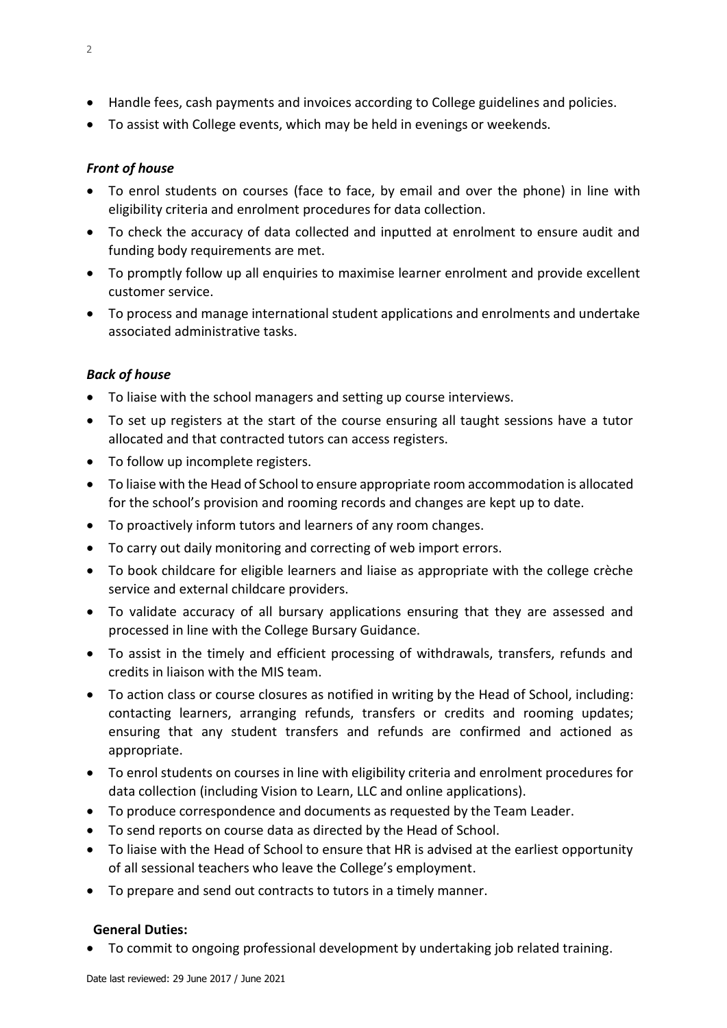- Handle fees, cash payments and invoices according to College guidelines and policies.
- To assist with College events, which may be held in evenings or weekends.

# *Front of house*

- To enrol students on courses (face to face, by email and over the phone) in line with eligibility criteria and enrolment procedures for data collection.
- To check the accuracy of data collected and inputted at enrolment to ensure audit and funding body requirements are met.
- To promptly follow up all enquiries to maximise learner enrolment and provide excellent customer service.
- To process and manage international student applications and enrolments and undertake associated administrative tasks.

# *Back of house*

- To liaise with the school managers and setting up course interviews.
- To set up registers at the start of the course ensuring all taught sessions have a tutor allocated and that contracted tutors can access registers.
- To follow up incomplete registers.
- To liaise with the Head of School to ensure appropriate room accommodation is allocated for the school's provision and rooming records and changes are kept up to date.
- To proactively inform tutors and learners of any room changes.
- To carry out daily monitoring and correcting of web import errors.
- To book childcare for eligible learners and liaise as appropriate with the college crèche service and external childcare providers.
- To validate accuracy of all bursary applications ensuring that they are assessed and processed in line with the College Bursary Guidance.
- To assist in the timely and efficient processing of withdrawals, transfers, refunds and credits in liaison with the MIS team.
- To action class or course closures as notified in writing by the Head of School, including: contacting learners, arranging refunds, transfers or credits and rooming updates; ensuring that any student transfers and refunds are confirmed and actioned as appropriate.
- To enrol students on courses in line with eligibility criteria and enrolment procedures for data collection (including Vision to Learn, LLC and online applications).
- To produce correspondence and documents as requested by the Team Leader.
- To send reports on course data as directed by the Head of School.
- To liaise with the Head of School to ensure that HR is advised at the earliest opportunity of all sessional teachers who leave the College's employment.
- To prepare and send out contracts to tutors in a timely manner.

## **General Duties:**

• To commit to ongoing professional development by undertaking job related training.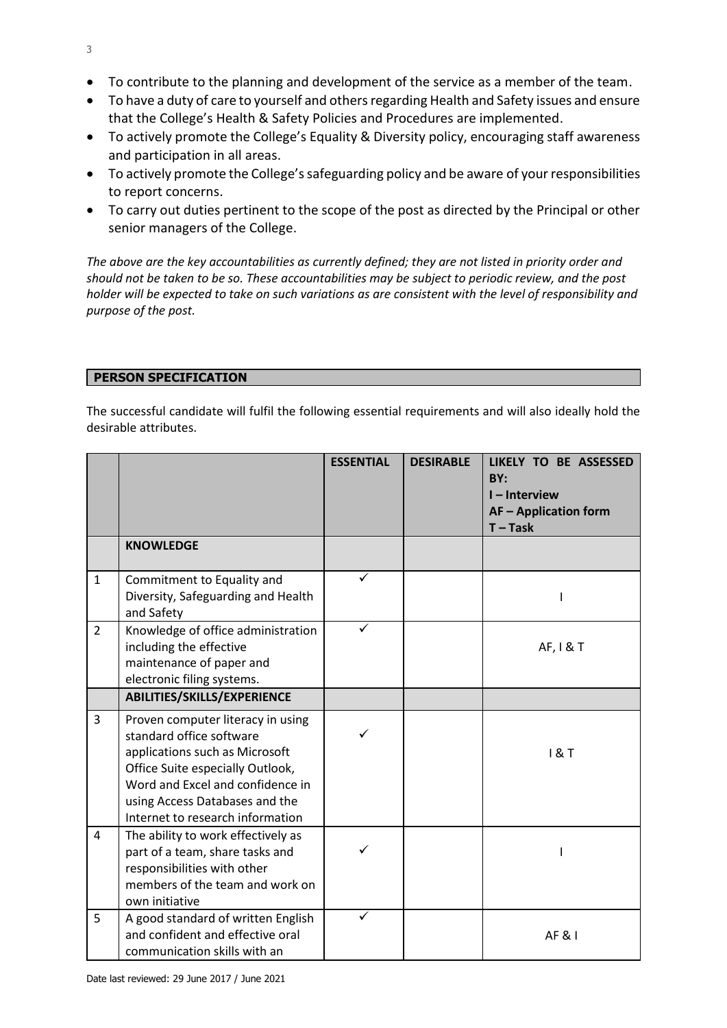- To contribute to the planning and development of the service as a member of the team.
- To have a duty of care to yourself and others regarding Health and Safety issues and ensure that the College's Health & Safety Policies and Procedures are implemented.
- To actively promote the College's Equality & Diversity policy, encouraging staff awareness and participation in all areas.
- To actively promote the College's safeguarding policy and be aware of your responsibilities to report concerns.
- To carry out duties pertinent to the scope of the post as directed by the Principal or other senior managers of the College.

*The above are the key accountabilities as currently defined; they are not listed in priority order and should not be taken to be so. These accountabilities may be subject to periodic review, and the post holder will be expected to take on such variations as are consistent with the level of responsibility and purpose of the post.*

## **PERSON SPECIFICATION**

The successful candidate will fulfil the following essential requirements and will also ideally hold the desirable attributes.

|                |                                                                                                                                                                                                                                               | <b>ESSENTIAL</b> | <b>DESIRABLE</b> | LIKELY TO BE ASSESSED<br>BY:<br>I-Interview<br><b>AF-Application form</b><br>$T - Task$ |
|----------------|-----------------------------------------------------------------------------------------------------------------------------------------------------------------------------------------------------------------------------------------------|------------------|------------------|-----------------------------------------------------------------------------------------|
|                | <b>KNOWLEDGE</b>                                                                                                                                                                                                                              |                  |                  |                                                                                         |
| $\mathbf{1}$   | Commitment to Equality and<br>Diversity, Safeguarding and Health<br>and Safety                                                                                                                                                                | ✓                |                  |                                                                                         |
| $\overline{2}$ | Knowledge of office administration<br>including the effective<br>maintenance of paper and<br>electronic filing systems.                                                                                                                       |                  |                  | AF, I & T                                                                               |
|                | ABILITIES/SKILLS/EXPERIENCE                                                                                                                                                                                                                   |                  |                  |                                                                                         |
| 3              | Proven computer literacy in using<br>standard office software<br>applications such as Microsoft<br>Office Suite especially Outlook,<br>Word and Excel and confidence in<br>using Access Databases and the<br>Internet to research information |                  |                  | 18T                                                                                     |
| 4              | The ability to work effectively as<br>part of a team, share tasks and<br>responsibilities with other<br>members of the team and work on<br>own initiative                                                                                     |                  |                  |                                                                                         |
| 5              | A good standard of written English<br>and confident and effective oral<br>communication skills with an                                                                                                                                        |                  |                  | $AF$ $R$ $I$                                                                            |